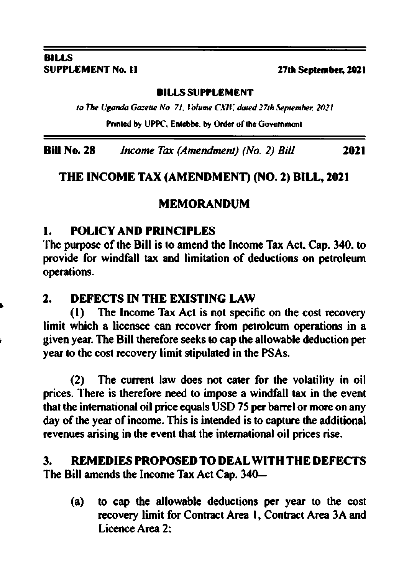# BILLS<br>SUPPLEMENT No. 11

I

### 27th September, 2021

### B!LI.s SUPPLEMENT

to The Uganda Gazette No. 71, Volume CXIV, duted 27th September. 2021.

Printed by UPPC, Entebbe. by Order of the Government

Bill No. 28 Income Tax (Amendment) (No. 2) Bill 2021

### THE INCOME TAX (AMENDMENT) (NO. 2) BILL, 2021

### MEMORANDUM

### 1. POLICY AND PRINCIPLES

'llrc purposc of the Bill is to amend the lncome Tax Act. Cap. 340. to provide for windfall tax and limitation of deductions on petroleum operations.

### 2. DEFECTS IN THE EXISTING LAW

(l) The lncome Tax Act is not spccific on the cost necovery limit which a licensee can recover from petroleum operations in a given year. The Bill therefore seeks io cap the allowable deduction per year to thc cost recovery limit stipulated in the PSAs.

(2) The current law does not cater for the volatility in oil prices. There is therefore need to impose a windfall tax in the event that the intemational oil price equals USD 75 per barrcl or morc on any day of the year of income. This is intended is to capture the additional revenues arising in the event that the intemational oil prices rise.

### 3. REMEDIESPROPOSEDTODEALWITHTHEDEFECTS The Bill amends the Income Tax Act Cap. 340-

(a) to cap the allowable deductions per year to the cosl recovery limit for Contract Area 1, Contract Area 3A and Licence Area 2: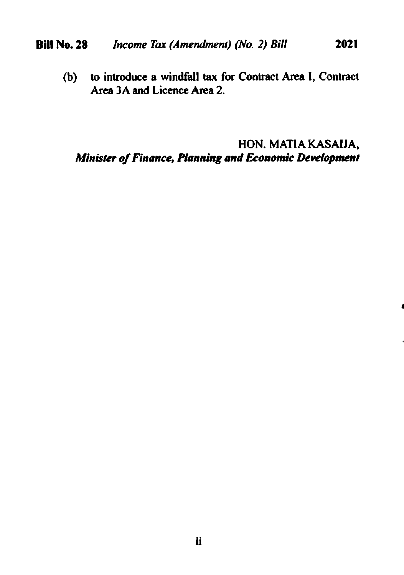#### Income Tax (Amendment) (No. 2) Bill **Bill No. 28** 2021

(b) to introduce a windfall tax for Contract Area I, Contract Area 3A and Licence Area 2.

## HON. MATIA KASAIJA, Minister of Finance, Planning and Economic Development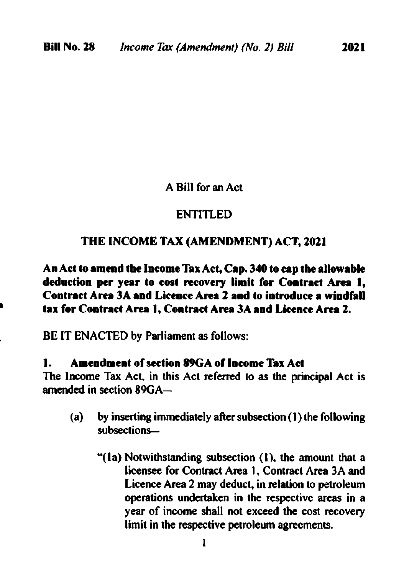A Bill for an Act

### ENTITI.ED

### THE INCOME TAX (AMENDMENT) ACT, 2021

An Act to amend the Income Tax Act, Cap. 340 to cap the allowable deduction per year to cost recovery limit for Contract Area 1. Contract Area 3A and Licence Area 2 and to introduce a windfall tax for Contract Area 1. Contract Area 3A and Licence Area 2.

BE IT ENACTED by Parliament as follows:

### **Amendment of section 89GA of Income Tax Act** 1.

The Income Tax Act, in this Act referred to as the principal Act is amended in section 89GA-

- by inserting immediately after subsection (1) the following  $(a)$ subsections-
	- "(1a) Notwithstanding subsection (1), the amount that a licensee for Contract Area 1, Contract Area 3A and Licence Area 2 may deduct, in relation to petroleum operations undertaken in the respective areas in a year of income shall not exceed the cost recovery limit in the respective petroleum agreements.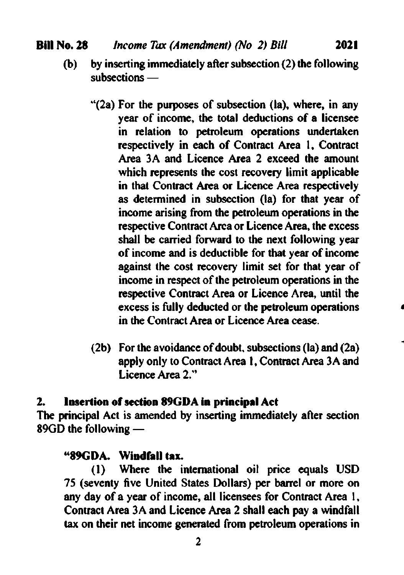$1$ ncome Tax (Amendment) (No 2) Bill 2021

Bill No. 28

- o) by inserting immediately after subsection (2) the following subsections -
	- "(2a) For the purposes of subsection (la), where, in any year of income, the total deductions of a licensee in relation to petroleum operations undertaken respectively in each of Contract Area 1, Contract Area 3A and Licence Area 2 exceed the amount which represents the cost recovery limit applicable in that Contract Area or Licence Area respectively as determined in subsection (la) for that year of income arising from the petroleum operations in the respective Contract Arca or Licence Area, the excess shall be carried forward to the next following year of income and is deductible for that year of income against the cost recovery limit set for that year of income in respect of the petroleum operations in the respective Contract Area or Licence Area, until the excess is fully deducted or the petroleum operations in the Contract Area or Licence Area cease.
	- (2b) For the avoidance of doubt, subsections (la) and (2a) apply only to Contract Area l, Contract Area 3A and Licence Area 2."

### 2. losertion of section 89GDA in principal Act

The principal Act is amended by inserting immediately after section 89GD the following -

**\*89GDA.** Windfall tax.<br>(1) Where the international oil price equals USD 75 (seventy five United States Dollars) per barrel or more on any day of a year of income, all licensees for Contract Area 1, Contract Area 3A and Licence Area 2 shall each pay a windfall tax on thcir net income generated from petroleum operations in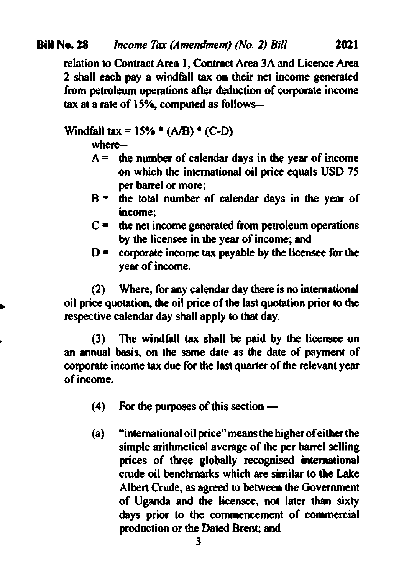relation to Contract Area 1, Contract Area 3A and Licence Area 2 shall each pay a windfall tax on their net income generated from petroleum operations after deduction of corporate income tax at a rate of  $15%$ , computed as follows-

Windfall tax =  $15\%$  \* (A/B) \* (C-D)

 $where$  $-$ 

- $A =$  the number of calendar days in the year of income on which the international oil price equals USD 75 per barrel or more;
- $B =$  the total number of calendar days in the year of income;
- $C =$  the net income generated from petroleum operations by the licenscc in the year of income; and
- $D =$  corporate income tax payable by the licensee for the year of income.

(2) Where, for any calendar day there is no international oil price quotation, the oil price of the last quotation prior to the respective calendar day shall apply to that day.

(3) The windfall tax shall be paid by the licensee on an annual basis, on the same date as the date of payment of corporate income tax due for the last quarter of the relevant year ofincome.

- (4) For the purposes of this section -
- $(a)$  "international oil price" means the higher of either the simple arithmetical average of the per barrel selling prices of three globally recognised international crude oil benchmarks which are similar to the Lake Albert Crude, as agreed to between the Government of Uganda and the licensec. not later fian sixty days prior to the commencement of commercial production or the Dated Brent; and